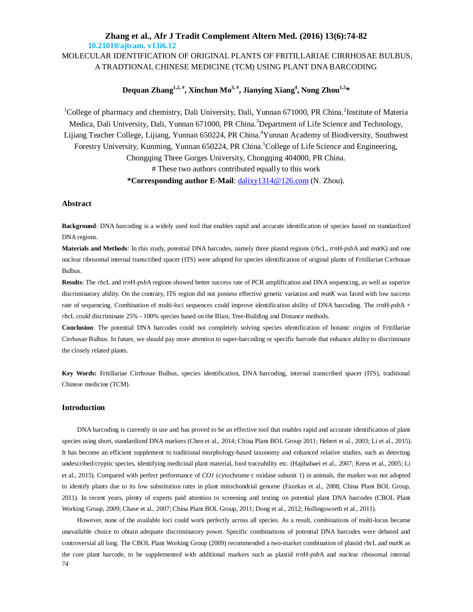## **Zhang et al., Afr J Tradit Complement Altern Med. (2016) 13(6):74-82 10.21010/ajtcam. v13i6.12** MOLECULAR IDENTIFICATION OF ORIGINAL PLANTS OF FRITILLARIAE CIRRHOSAE BULBUS, A TRADTIONAL CHINESE MEDICINE (TCM) USING PLANT DNA BARCODING

## **Dequan Zhang1,2, # , Xinchun Mo3, # , Jianying Xiang<sup>4</sup> , Nong Zhou1,5\***

<sup>1</sup>College of pharmacy and chemistry, Dali University, Dali, Yunnan 671000, PR China.<sup>2</sup>Institute of Materia Medica, Dali University, Dali, Yunnan 671000, PR China.<sup>3</sup>Department of Life Science and Technology, Lijiang Teacher College, Lijiang, Yunnan 650224, PR China. <sup>4</sup>Yunnan Academy of Biodiversity, Southwest Forestry University, Kunming, Yunnan 650224, PR China. College of Life Science and Engineering, Chongqing Three Gorges University, Chongqing 404000, PR China. # These two authors contributed equally to this work **\*Corresponding author E-Mail**: dalixy1314@126.com (N. Zhou).

### **Abstract**

**Background**: DNA barcoding is a widely used tool that enables rapid and accurate identification of species based on standardized DNA regions.

**Materials and Methods**: In this study, potential DNA barcodes, namely three plastid regions (*rbc*L, *trn*H*-psb*A and *mat*K) and one nuclear ribosomal internal transcribed spacer (ITS) were adopted for species identification of original plants of Fritillariae Cirrhosae Bulbus.

**Results**: The *rbc*L and *trn*H*-psb*A regions showed better success rate of PCR amplification and DNA sequencing, as well as superior discriminatory ability. On the contrary, ITS region did not possess effective genetic variation and *matK* was faced with low success rate of sequencing. Combination of multi-loci sequences could improve identification ability of DNA barcoding. The *trn*H*-psb*A + *rbc*L could discriminate 25% - 100% species based on the Blast, Tree-Building and Distance methods.

**Conclusion**: The potential DNA barcodes could not completely solving species identification of botanic origins of Fritillariae Cirrhosae Bulbus. In future, we should pay more attention to super-barcoding or specific barcode that enhance ability to discriminate the closely related plants.

**Key Words:** Fritillariae Cirrhosae Bulbus, species identification, DNA barcoding, internal transcribed spacer (ITS), traditional Chinese medicine (TCM).

### **Introduction**

DNA barcoding is currently in use and has proved to be an effective tool that enables rapid and accurate identification of plant species using short, standardized DNA markers (Chen et al., 2014; China Plant BOL Group 2011; Hebert et al., 2003; Li et al., 2015). It has become an efficient supplement to traditional morphology-based taxonomy and enhanced relative studies, such as detecting undescribed/cryptic species, identifying medicinal plant material, food traceability etc. (Hajibabaei et al., 2007; Kress et al., 2005; Li et al., 2015). Compared with perfect performance of *CO1* (cytochrome c oxidase subunit 1) in animals, the marker was not adopted to identify plants due to its low substitution rates in plant mitochondrial genome (Fazekas et al., 2008, China Plant BOL Group, 2011). In recent years, plenty of experts paid attention to screening and testing on potential plant DNA barcodes (CBOL Plant Working Group, 2009; Chase et al., 2007; China Plant BOL Group, 2011; Dong et al., 2012; Hollingsworth et al., 2011).

74 However, none of the available loci could work perfectly across all species. As a result, combinations of multi-locus became unavailable choice to obtain adequate discriminatory power. Specific combinations of potential DNA barcodes were debated and controversial all long. The CBOL Plant Working Group (2009) recommended a two-marker combination of plastid *rbc*L and *mat*K as the core plant barcode, to be supplemented with additional markers such as plastid *trn*H*-psb*A and nuclear ribosomal internal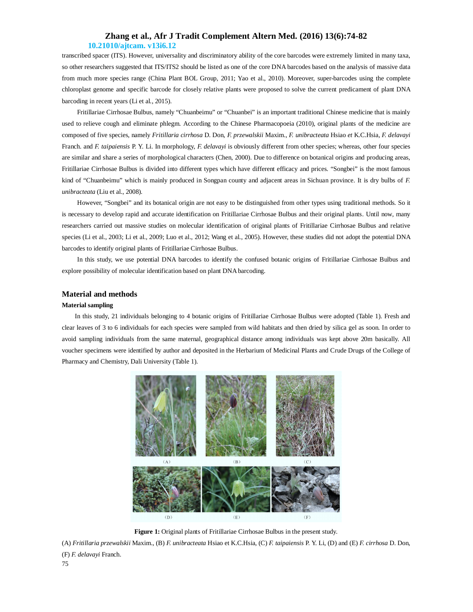### **Zhang et al., Afr J Tradit Complement Altern Med. (2016) 13(6):74-82 10.21010/ajtcam. v13i6.12**

transcribed spacer (ITS). However, universality and discriminatory ability of the core barcodes were extremely limited in many taxa, so other researchers suggested that ITS/ITS2 should be listed as one of the core DNA barcodes based on the analysis of massive data from much more species range (China Plant BOL Group, 2011; Yao et al., 2010). Moreover, super-barcodes using the complete chloroplast genome and specific barcode for closely relative plants were proposed to solve the current predicament of plant DNA barcoding in recent years (Li et al., 2015).

Fritillariae Cirrhosae Bulbus, namely "Chuanbeimu" or "Chuanbei" is an important traditional Chinese medicine that is mainly used to relieve cough and eliminate phlegm. According to the Chinese Pharmacopoeia (2010), original plants of the medicine are composed of five species, namely *Fritillaria cirrhosa* D. Don, *F. przewalskii* Maxim., *F. unibracteata* Hsiao *et* K.C.Hsia, *F. delavayi*  Franch. and *F. taipaiensis* P. Y. Li. In morphology, *F. delavayi* is obviously different from other species; whereas, other four species are similar and share a series of morphological characters (Chen, 2000). Due to difference on botanical origins and producing areas, Fritillariae Cirrhosae Bulbus is divided into different types which have different efficacy and prices. "Songbei" is the most famous kind of "Chuanbeimu" which is mainly produced in Songpan county and adjacent areas in Sichuan province. It is dry bulbs of *F. unibracteata* (Liu et al., 2008).

However, "Songbei" and its botanical origin are not easy to be distinguished from other types using traditional methods. So it is necessary to develop rapid and accurate identification on Fritillariae Cirrhosae Bulbus and their original plants. Until now, many researchers carried out massive studies on molecular identification of original plants of Fritillariae Cirrhosae Bulbus and relative species (Li et al., 2003; Li et al., 2009; Luo et al., 2012; Wang et al., 2005). However, these studies did not adopt the potential DNA barcodes to identify original plants of Fritillariae Cirrhosae Bulbus.

In this study, we use potential DNA barcodes to identify the confused botanic origins of Fritillariae Cirrhosae Bulbus and explore possibility of molecular identification based on plant DNA barcoding.

#### **Material and methods**

#### **Material sampling**

In this study, 21 individuals belonging to 4 botanic origins of Fritillariae Cirrhosae Bulbus were adopted (Table 1). Fresh and clear leaves of 3 to 6 individuals for each species were sampled from wild habitats and then dried by silica gel as soon. In order to avoid sampling individuals from the same maternal, geographical distance among individuals was kept above 20m basically. All voucher specimens were identified by author and deposited in the Herbarium of Medicinal Plants and Crude Drugs of the College of Pharmacy and Chemistry, Dali University (Table 1).



**Figure 1:** Original plants of Fritillariae Cirrhosae Bulbus in the present study.

(A) *Fritillaria przewalskii* Maxim., (B) *F. unibracteata* Hsiao et K.C.Hsia, (C) *F. taipaiensis* P. Y. Li, (D) and (E) *F. cirrhosa* D. Don, (F) *F. delavayi* Franch.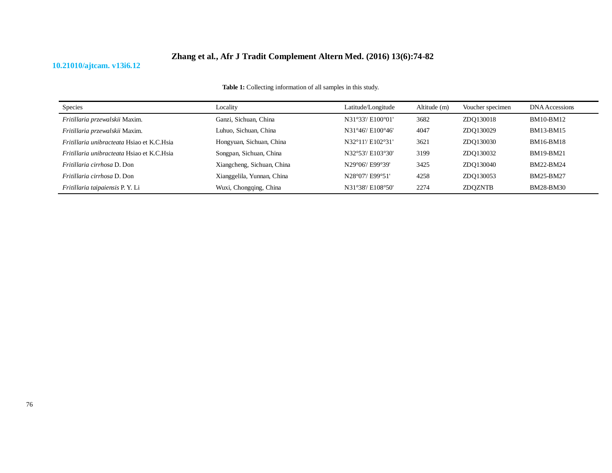## **10.21010/ajtcam. v13i6.12**

| <b>Table 1:</b> Collecting information of all samples in this study. |  |
|----------------------------------------------------------------------|--|
|----------------------------------------------------------------------|--|

| Species                                           | Locality                   | Latitude/Longitude | Altitude (m) | Voucher specimen | DNA Accessions   |
|---------------------------------------------------|----------------------------|--------------------|--------------|------------------|------------------|
| Fritillaria przewalskii Maxim.                    | Ganzi, Sichuan, China      | N31°33'/ E100°01'  | 3682         | ZDO130018        | <b>BM10-BM12</b> |
| Fritillaria przewalskii Maxim.                    | Luhuo, Sichuan, China      | N31°46'/ E100°46'  | 4047         | ZDO130029        | BM13-BM15        |
| <i>Fritillaria unibracteata</i> Hsiao et K.C.Hsia | Hongyuan, Sichuan, China   | N32°11'/ E102°31'  | 3621         | ZDO130030        | <b>BM16-BM18</b> |
| <i>Fritillaria unibracteata</i> Hsiao et K.C.Hsia | Songpan, Sichuan, China    | N32°53'/ E103°30'  | 3199         | ZDO130032        | BM19-BM21        |
| <i>Fritillaria cirrhosa</i> D. Don                | Xiangcheng, Sichuan, China | N29°06'/ E99°39'   | 3425         | ZDO130040        | BM22-BM24        |
| <i>Fritillaria cirrhosa</i> D. Don                | Xianggelila, Yunnan, China | N28°07'/ E99°51'   | 4258         | ZDO130053        | BM25-BM27        |
| Fritillaria taipaiensis P.Y. Li                   | Wuxi, Chongqing, China     | N31°38'/ E108°50'  | 2274         | <b>ZDOZNTB</b>   | <b>BM28-BM30</b> |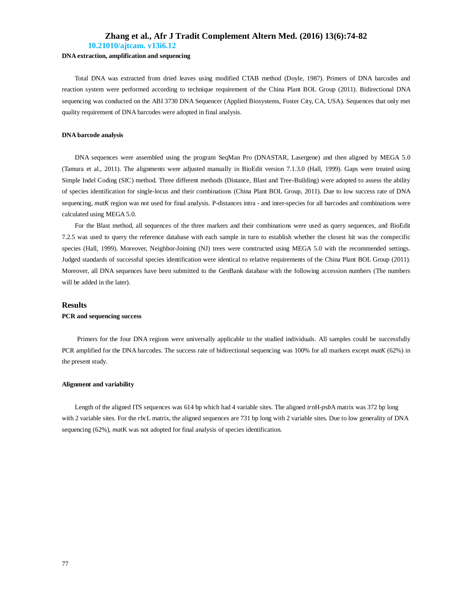**10.21010/ajtcam. v13i6.12**

### **DNA extraction, amplification and sequencing**

Total DNA was extracted from dried leaves using modified CTAB method (Doyle, 1987). Primers of DNA barcodes and reaction system were performed according to technique requirement of the China Plant BOL Group (2011). Bidirectional DNA sequencing was conducted on the ABI 3730 DNA Sequencer (Applied Biosystems, Foster City, CA, USA). Sequences that only met quality requirement of DNA barcodes were adopted in final analysis.

#### **DNA barcode analysis**

DNA sequences were assembled using the program SeqMan Pro (DNASTAR, Lasergene) and then aligned by MEGA 5.0 (Tamura et al., 2011). The alignments were adjusted manually in BioEdit version 7.1.3.0 (Hall, 1999). Gaps were treated using Simple Indel Coding (SIC) method. Three different methods (Distance, Blast and Tree-Building) were adopted to assess the ability of species identification for single-locus and their combinations (China Plant BOL Group, 2011). Due to low success rate of DNA sequencing, *matK* region was not used for final analysis. P-distances intra - and inter-species for all barcodes and combinations were calculated using MEGA 5.0.

For the Blast method, all sequences of the three markers and their combinations were used as query sequences, and BioEdit 7.2.5 was used to query the reference database with each sample in turn to establish whether the closest hit was the conspecific species (Hall, 1999). Moreover, Neighbor-Joining (NJ) trees were constructed using MEGA 5.0 with the recommended settings. Judged standards of successful species identification were identical to relative requirements of the China Plant BOL Group (2011). Moreover, all DNA sequences have been submitted to the GenBank database with the following accession numbers (The numbers will be added in the later).

#### **Results**

#### **PCR and sequencing success**

Primers for the four DNA regions were universally applicable to the studied individuals. All samples could be successfully PCR amplified for the DNA barcodes. The success rate of bidirectional sequencing was 100% for all markers except *matK* (62%) in the present study.

#### **Alignment and variability**

Length of the aligned ITS sequences was 614 bp which had 4 variable sites. The aligned *trn*H*-psb*A matrix was 372 bp long with 2 variable sites. For the *rbc*L matrix, the aligned sequences are 731 bp long with 2 variable sites. Due to low generality of DNA sequencing (62%), *mat*K was not adopted for final analysis of species identification.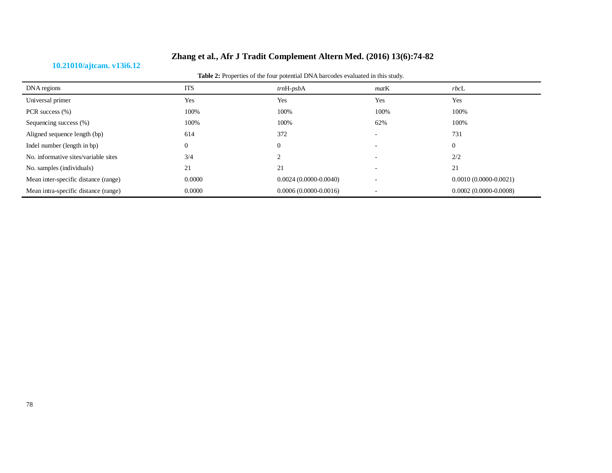## **10.21010/ajtcam. v13i6.12**

| DNA regions                          | <b>ITS</b> | $trnH-psbA$               | matK | $rbc$ L                   |
|--------------------------------------|------------|---------------------------|------|---------------------------|
| Universal primer                     | Yes        | Yes                       | Yes  | Yes                       |
| PCR success (%)                      | 100%       | 100%                      | 100% | 100%                      |
| Sequencing success (%)               | 100%       | 100%                      | 62%  | 100%                      |
| Aligned sequence length (bp)         | 614        | 372                       |      | 731                       |
| Indel number (length in bp)          | $\theta$   | $\Omega$                  |      | $\theta$                  |
| No. informative sites/variable sites | 3/4        | $\sim$                    |      | 2/2                       |
| No. samples (individuals)            | 21         | 21                        |      | 21                        |
| Mean inter-specific distance (range) | 0.0000     | $0.0024(0.0000 - 0.0040)$ |      | $0.0010(0.0000 - 0.0021)$ |
| Mean intra-specific distance (range) | 0.0000     | $0.0006(0.0000 - 0.0016)$ |      | $0.0002(0.0000 - 0.0008)$ |

**Table 2:** Properties of the four potential DNA barcodes evaluated in this study.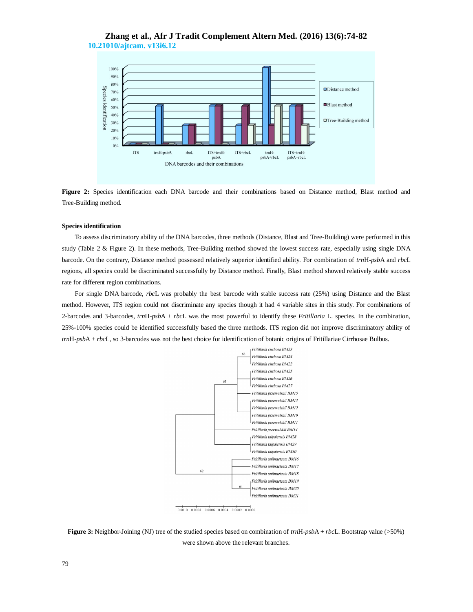## **Zhang et al., Afr J Tradit Complement Altern Med. (2016) 13(6):74-82 10.21010/ajtcam. v13i6.12**



**Figure 2:** Species identification each DNA barcode and their combinations based on Distance method, Blast method and Tree-Building method.

#### **Species identification**

To assess discriminatory ability of the DNA barcodes, three methods (Distance, Blast and Tree-Building) were performed in this study (Table 2 & Figure 2). In these methods, Tree-Building method showed the lowest success rate, especially using single DNA barcode. On the contrary, Distance method possessed relatively superior identified ability. For combination of *trn*H-*psb*A and *rbc*L regions, all species could be discriminated successfully by Distance method. Finally, Blast method showed relatively stable success rate for different region combinations.

For single DNA barcode, *rbc*L was probably the best barcode with stable success rate (25%) using Distance and the Blast method. However, ITS region could not discriminate any species though it had 4 variable sites in this study. For combinations of 2-barcodes and 3-barcodes, *trn*H-*psb*A + *rbc*L was the most powerful to identify these *Fritillaria* L. species. In the combination, 25%-100% species could be identified successfully based the three methods. ITS region did not improve discriminatory ability of *trn*H-*psb*A + *rbc*L, so 3-barcodes was not the best choice for identification of botanic origins of Fritillariae Cirrhosae Bulbus.





**Figure 3:** Neighbor-Joining (NJ) tree of the studied species based on combination of *trn*H-*psb*A + *rbc*L. Bootstrap value (>50%) were shown above the relevant branches.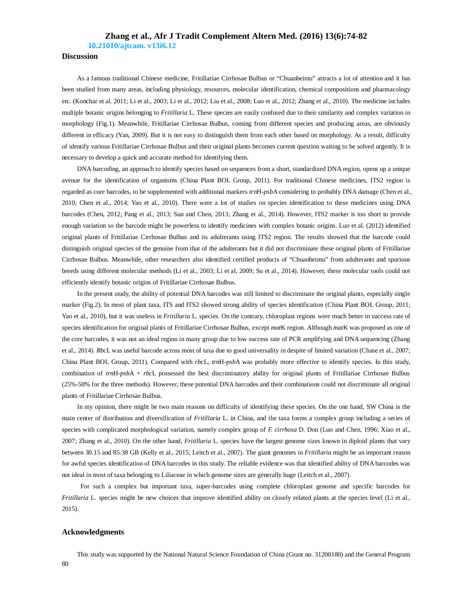**10.21010/ajtcam. v13i6.12**

## **Discussion**

As a famous traditional Chinese medicine, Fritillariae Cirrhosae Bulbus or "Chuanbeimu" attracts a lot of attention and it has been studied from many areas, including physiology, resources, molecular identification, chemical compositions and pharmacology etc. (Konchar et al. 2011; Li et al., 2003; Li et al., 2012; Liu et al., 2008; Luo et al., 2012; Zhang et al., 2010). The medicine includes multiple botanic origins belonging to *Fritillaria* L. These species are easily confused due to their similarity and complex variation in morphology (Fig.1). Meanwhile, Fritillariae Cirrhosae Bulbus, coming from different species and producing areas, are obviously different in efficacy (Yan, 2009). But it is not easy to distinguish them from each other based on morphology. As a result, difficulty of identify various Fritillariae Cirrhosae Bulbus and their original plants becomes current question waiting to be solved urgently. It is necessary to develop a quick and accurate method for identifying them.

DNA barcoding, an approach to identify species based on sequences from a short, standardized DNA region, opens up a unique avenue for the identification of organisms (China Plant BOL Group, 2011). For traditional Chinese medicines, ITS2 region is regarded as core barcodes, to be supplemented with additional markers *trn*H-*psb*A considering to probably DNA damage (Chen et al., 2010; Chen et al., 2014; Yao et al., 2010). There were a lot of studies on species identification to these medicines using DNA barcodes (Chen, 2012; Pang et al., 2013; Sun and Chen, 2013; Zhang et al., 2014). However, ITS2 marker is too short to provide enough variation so the barcode might be powerless to identify medicines with complex botanic origins. Luo et al. (2012) identified original plants of Fritillariae Cirrhosae Bulbus and its adulterants using ITS2 region. The results showed that the barcode could distinguish original species of the genuine from that of the adulterants but it did not discriminate these original plants of Fritillariae Cirrhosae Bulbus. Meanwhile, other researchers also identified certified products of "Chuanbeimu" from adulterants and spurious breeds using different molecular methods (Li et al., 2003; Li et al, 2009; Su et al., 2014). However, these molecular tools could not efficiently identify botanic origins of Fritillariae Cirrhosae Bulbus.

In the present study, the ability of potential DNA barcodes was still limited to discriminate the original plants, especially single marker (Fig.2). In most of plant taxa, ITS and ITS2 showed strong ability of species identification (China Plant BOL Group, 2011; Yao et al., 2010), but it was useless in *Fritillaria* L. species. On the contrary, chloroplast regions were much better in success rate of species identification for original plants of Fritillariae Cirrhosae Bulbus, except *mat*K region. Although *mat*K was proposed as one of the core barcodes, it was not an ideal region in many group due to low success rate of PCR amplifying and DNA sequencing (Zhang et al., 2014). *Rbc*L was useful barcode across most of taxa due to good universality in despite of limited variation (Chase et al., 2007; China Plant BOL Group, 2011). Compared with *rbc*L, *trn*H-*psb*A was probably more effective to identify species. In this study, combination of *trn*H-*psb*A + *rbc*L possessed the best discriminatory ability for original plants of Fritillariae Cirrhosae Bulbus (25%-50% for the three methods). However, these potential DNA barcodes and their combinations could not discriminate all original plants of Fritillariae Cirrhosae Bulbus.

In my opinion, there might be two main reasons on difficulty of identifying these species. On the one hand, SW China is the main center of distribution and diversification of *Fritillaria* L. in China, and the taxa forms a complex group including a series of species with complicated morphological variation, namely complex group of *F. cirrhosa* D. Don (Luo and Chen, 1996; Xiao et al., 2007; Zhang et al., 2010). On the other hand, *Fritillaria* L. species have the largest genome sizes known in diploid plants that vary between 30.15 and 85.38 GB (Kelly et al., 2015; Leitch et al., 2007). The giant genomes in *Fritillaria* might be an important reason for awful species identification of DNA barcodes in this study. The reliable evidence was that identified ability of DNA barcodes was not ideal in most of taxa belonging to Liliaceae in which genome sizes are generally huge (Leitch et al., 2007).

For such a complex but important taxa, super-barcodes using complete chloroplast genome and specific barcodes for *Fritillaria* L. species might be new choices that improve identified ability on closely related plants at the species level (Li et al., 2015).

### **Acknowledgments**

This study was supported by the National Natural Science Foundation of China (Grant no. 31200180) and the General Program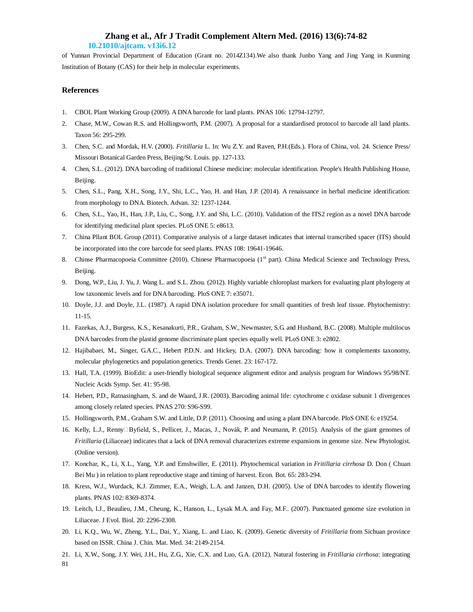## **10.21010/ajtcam. v13i6.12**

of Yunnan Provincial Department of Education (Grant no. 2014Z134).We also thank Junbo Yang and Jing Yang in Kunming Institution of Botany (CAS) for their help in molecular experiments.

## **References**

- 1. CBOL Plant Working Group (2009). A DNA barcode for land plants. PNAS 106: 12794-12797.
- 2. Chase, M.W., Cowan R.S. and Hollingsworth, P.M. (2007). A proposal for a standardised protocol to barcode all land plants. Taxon 56: 295-299.
- 3. Chen, S.C. and Mordak, H.V. (2000). *Fritillaria* L. In: Wu Z.Y. and Raven, P.H.(Eds.). Flora of China, vol. 24. Science Press/ Missouri Botanical Garden Press, Beijing/St. Louis. pp. 127-133.
- 4. Chen, S.L. (2012). DNA barcoding of traditional Chinese medicine: molecular identification. People's Health Publishing House, Beijing.
- 5. Chen, S.L., Pang, X.H., Song, J.Y., Shi, L.C., Yao, H. and Han, J.P. (2014). A renaissance in herbal medicine identification: from morphology to DNA. Biotech. Advan. 32: 1237-1244.
- 6. Chen, S.L., Yao, H., Han, J.P., Liu, C., Song, J.Y. and Shi, L.C. (2010). Validation of the ITS2 region as a novel DNA barcode for identifying medicinal plant species. PLoS ONE 5: e8613.
- 7. China Pllant BOL Group (2011). Comparative analysis of a large dataset indicates that internal transcribed spacer (ITS) should be incorporated into the core barcode for seed plants. PNAS 108: 19641-19646.
- 8. Chinse Pharmacopoeia Committee (2010). Chinese Pharmacopoeia (1<sup>st</sup> part). China Medical Science and Technology Press, Beijing.
- 9. Dong, W.P., Liu, J. Yu, J. Wang L. and S.L. Zhou. (2012). Highly variable chloroplast markers for evaluating plant phylogeny at low taxonomic levels and for DNA barcoding. PloS ONE 7: e35071.
- 10. Doyle, J.J. and Doyle, J.L. (1987). A rapid DNA isolation procedure for small quantities of fresh leaf tissue. Phytochemistry: 11-15.
- 11. Fazekas, A.J., Burgess, K.S., Kesanakurti, P.R., Graham, S.W., Newmaster, S.G. and Husband, B.C. (2008). Multiple multilocus DNA barcodes from the plastid genome discriminate plant species equally well. PLoS ONE 3: e2802.
- 12. Hajibabaei, M., Singer, G.A.C., Hebert P.D.N. and Hickey, D.A. (2007). DNA barcoding: how it complements taxonomy, molecular phylogenetics and population genetics. Trends Genet. 23: 167-172.
- 13. Hall, T.A. (1999). BioEdit: a user-friendly biological sequence alignment editor and analysis program for Windows 95/98/NT. Nucleic Acids Symp. Ser. 41: 95-98.
- 14. Hebert, P.D., Ratnasingham, S. and de Waard, J.R. (2003). Barcoding animal life: cytochrome c oxidase subunit 1 divergences among closely related species. PNAS 270: S96-S99.
- 15. Hollingsworth, P.M., Graham S.W. and Little, D.P. (2011). Choosing and using a plant DNA barcode. PloS ONE 6: e19254.
- 16. Kelly, L.J., Renny□Byfield, S., Pellicer, J., Macas, J., Novák, P. and Neumann, P. (2015). Analysis of the giant genomes of *Fritillaria* (Liliaceae) indicates that a lack of DNA removal characterizes extreme expansions in genome size. New Phytologist. (Online version).
- 17. Konchar, K., Li, X.L., Yang, Y.P. and Emshwiller, E. (2011). Phytochemical variation in *Fritillaria cirrhosa* D. Don ( Chuan Bei Mu ) in relation to plant reproductive stage and timing of harvest. Econ. Bot. 65: 283-294.
- 18. Kress, W.J., Wurdack, K.J. Zimmer, E.A., Weigh, L.A. and Janzen, D.H. (2005). Use of DNA barcodes to identify flowering plants. PNAS 102: 8369-8374.
- 19. Leitch, I.J., Beaulieu, J.M., Cheung, K., Hanson, L., Lysak M.A. and Fay, M.F.. (2007). Punctuated genome size evolution in Liliaceae. J Evol. Biol. 20: 2296-2308.
- 20. Li, K.Q., Wu, W., Zheng, Y.L., Dai, Y., Xiang, L. and Liao, K. (2009). Genetic diversity of *Fritillaria* from Sichuan province based on ISSR. China J. Chin. Mat. Med. 34: 2149-2154.
- 21. Li, X.W., Song, J.Y. Wei, J.H., Hu, Z.G., Xie, C.X. and Luo, G.A. (2012). Natural fostering in *Fritillaria cirrhosa*: integrating

81